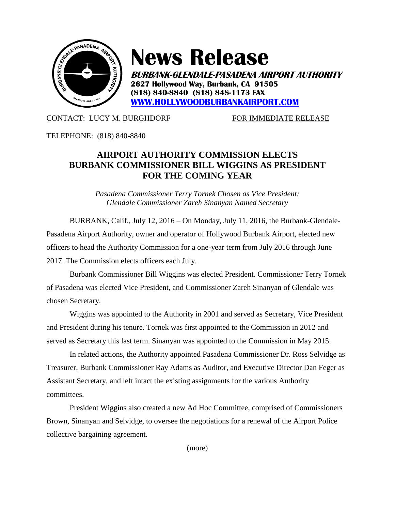

## **News Release**

**BURBANK-GLENDALE-PASADENA AIRPORT AUTHORITY 2627 Hollywood Way, Burbank, CA 91505 (818) 840-8840 (818) 848-1173 FAX [WWW.HOLLYWOODBURBANKAIRPORT.COM](http://www.hollywoodburbankairport.com/)**

## CONTACT: LUCY M. BURGHDORF FOR IMMEDIATE RELEASE

TELEPHONE: (818) 840-8840

## **AIRPORT AUTHORITY COMMISSION ELECTS BURBANK COMMISSIONER BILL WIGGINS AS PRESIDENT FOR THE COMING YEAR**

*Pasadena Commissioner Terry Tornek Chosen as Vice President; Glendale Commissioner Zareh Sinanyan Named Secretary*

BURBANK, Calif., July 12, 2016 – On Monday, July 11, 2016, the Burbank-Glendale-Pasadena Airport Authority, owner and operator of Hollywood Burbank Airport, elected new officers to head the Authority Commission for a one-year term from July 2016 through June 2017. The Commission elects officers each July.

Burbank Commissioner Bill Wiggins was elected President. Commissioner Terry Tornek of Pasadena was elected Vice President, and Commissioner Zareh Sinanyan of Glendale was chosen Secretary.

Wiggins was appointed to the Authority in 2001 and served as Secretary, Vice President and President during his tenure. Tornek was first appointed to the Commission in 2012 and served as Secretary this last term. Sinanyan was appointed to the Commission in May 2015.

In related actions, the Authority appointed Pasadena Commissioner Dr. Ross Selvidge as Treasurer, Burbank Commissioner Ray Adams as Auditor, and Executive Director Dan Feger as Assistant Secretary, and left intact the existing assignments for the various Authority committees.

President Wiggins also created a new Ad Hoc Committee, comprised of Commissioners Brown, Sinanyan and Selvidge, to oversee the negotiations for a renewal of the Airport Police collective bargaining agreement.

(more)